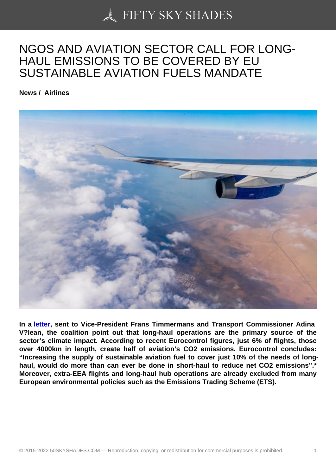## [NGOS AND AVIATION](https://50skyshades.com) SECTOR CALL FOR LONG-HAUL EMISSIONS TO BE COVERED BY EU SUSTAINABLE AVIATION FUELS MANDATE

News / Airlines

In a letter, sent to Vice-President Frans Timmermans and Transport Commissioner Adina V?lean, the coalition point out that long-haul operations are the primary source of the sector's climate impact. According to recent Eurocontrol figures, just 6% of flights, those over [4000](https://www.transportenvironment.org/sites/te/files/publications/2021_03_Open_letter_Ensuring_all_airlines_play_their_part_in_tackling_climate_change.pdf)km in length, create half of aviation's CO2 emissions. Eurocontrol concludes: "Increasing the supply of sustainable aviation fuel to cover just 10% of the needs of longhaul, would do more than can ever be done in short-haul to reduce net CO2 emissions".\* Moreover, extra-EEA flights and long-haul hub operations are already excluded from many European environmental policies such as the Emissions Trading Scheme (ETS).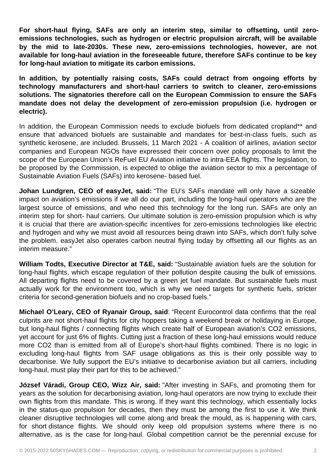**For short-haul flying, SAFs are only an interim step, similar to offsetting, until zeroemissions technologies, such as hydrogen or electric propulsion aircraft, will be available by the mid to late-2030s. These new, zero-emissions technologies, however, are not available for long-haul aviation in the foreseeable future, therefore SAFs continue to be key for long-haul aviation to mitigate its carbon emissions.**

**In addition, by potentially raising costs, SAFs could detract from ongoing efforts by technology manufacturers and short-haul carriers to switch to cleaner, zero-emissions solutions. The signatories therefore call on the European Commission to ensure the SAFs mandate does not delay the development of zero-emission propulsion (i.e. hydrogen or electric).**

In addition, the European Commission needs to exclude biofuels from dedicated cropland\*\* and ensure that advanced biofuels are sustainable and mandates for best-in-class fuels, such as synthetic kerosene, are included. Brussels, 11 March 2021 - A coalition of airlines, aviation sector companies and European NGOs have expressed their concern over policy proposals to limit the scope of the European Union's ReFuel EU Aviation initiative to intra-EEA flights. The legislation, to be proposed by the Commission, is expected to oblige the aviation sector to mix a percentage of Sustainable Aviation Fuels (SAFs) into kerosene- based fuel.

**Johan Lundgren, CEO of easyJet, said:** "The EU's SAFs mandate will only have a sizeable impact on aviation's emissions if we all do our part, including the long-haul operators who are the largest source of emissions, and who need this technology for the long run. SAFs are only an interim step for short- haul carriers. Our ultimate solution is zero-emission propulsion which is why it is crucial that there are aviation-specific incentives for zero-emissions technologies like electric and hydrogen and why we must avoid all resources being drawn into SAFs, which don't fully solve the problem. easyJet also operates carbon neutral flying today by offsetting all our flights as an interim measure."

**William Todts, Executive Director at T&E, said:** "Sustainable aviation fuels are the solution for long-haul flights, which escape regulation of their pollution despite causing the bulk of emissions. All departing flights need to be covered by a green jet fuel mandate. But sustainable fuels must actually work for the environment too, which is why we need targets for synthetic fuels, stricter criteria for second-generation biofuels and no crop-based fuels."

**Michael O'Leary, CEO of Ryanair Group, said**: "Recent Eurocontrol data confirms that the real culprits are not short-haul flights for city hoppers taking a weekend break or holidaying in Europe, but long-haul flights / connecting flights which create half of European aviation's CO2 emissions, yet account for just 6% of flights. Cutting just a fraction of these long-haul emissions would reduce more CO2 than is emitted from all of Europe's short-haul flights combined. There is no logic in excluding long-haul flights from SAF usage obligations as this is their only possible way to decarbonise. We fully support the EU's initiative to decarbonise aviation but all carriers, including long-haul, must play their part for this to be achieved."

**József Váradi, Group CEO, Wizz Air, said:** "After investing in SAFs, and promoting them for years as the solution for decarbonising aviation, long-haul operators are now trying to exclude their own flights from this mandate. This is wrong. If they want this technology, which essentially locks in the status-quo propulsion for decades, then they must be among the first to use it. We think cleaner disruptive technologies will come along and break the mould, as is happening with cars, for short distance flights. We should only keep old propulsion systems where there is no alternative, as is the case for long-haul. Global competition cannot be the perennial excuse for